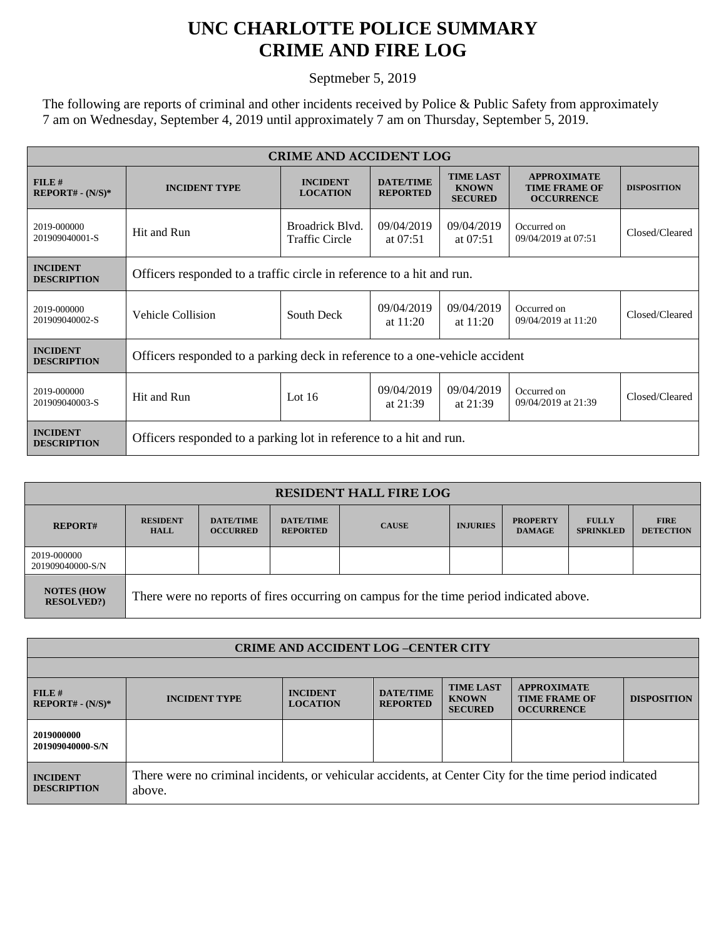## **UNC CHARLOTTE POLICE SUMMARY CRIME AND FIRE LOG**

Septmeber 5, 2019

The following are reports of criminal and other incidents received by Police & Public Safety from approximately 7 am on Wednesday, September 4, 2019 until approximately 7 am on Thursday, September 5, 2019.

| <b>CRIME AND ACCIDENT LOG</b>         |                                                                             |                                          |                                     |                                                    |                                                                 |                    |  |  |
|---------------------------------------|-----------------------------------------------------------------------------|------------------------------------------|-------------------------------------|----------------------------------------------------|-----------------------------------------------------------------|--------------------|--|--|
| FILE#<br>$REPORT# - (N/S)*$           | <b>INCIDENT TYPE</b>                                                        | <b>INCIDENT</b><br><b>LOCATION</b>       | <b>DATE/TIME</b><br><b>REPORTED</b> | <b>TIME LAST</b><br><b>KNOWN</b><br><b>SECURED</b> | <b>APPROXIMATE</b><br><b>TIME FRAME OF</b><br><b>OCCURRENCE</b> | <b>DISPOSITION</b> |  |  |
| 2019-000000<br>201909040001-S         | Hit and Run                                                                 | Broadrick Blvd.<br><b>Traffic Circle</b> | 09/04/2019<br>at $07:51$            | 09/04/2019<br>at $07:51$                           | Occurred on<br>09/04/2019 at 07:51                              | Closed/Cleared     |  |  |
| <b>INCIDENT</b><br><b>DESCRIPTION</b> | Officers responded to a traffic circle in reference to a hit and run.       |                                          |                                     |                                                    |                                                                 |                    |  |  |
| 2019-000000<br>201909040002-S         | Vehicle Collision                                                           | South Deck                               | 09/04/2019<br>at $11:20$            | 09/04/2019<br>at $11:20$                           | Occurred on<br>09/04/2019 at 11:20                              | Closed/Cleared     |  |  |
| <b>INCIDENT</b><br><b>DESCRIPTION</b> | Officers responded to a parking deck in reference to a one-vehicle accident |                                          |                                     |                                                    |                                                                 |                    |  |  |
| 2019-000000<br>201909040003-S         | Hit and Run                                                                 | Lot $16$                                 | 09/04/2019<br>at $21:39$            | 09/04/2019<br>at $21:39$                           | Occurred on<br>09/04/2019 at 21:39                              | Closed/Cleared     |  |  |
| <b>INCIDENT</b><br><b>DESCRIPTION</b> | Officers responded to a parking lot in reference to a hit and run.          |                                          |                                     |                                                    |                                                                 |                    |  |  |

| <b>RESIDENT HALL FIRE LOG</b>         |                                                                                         |                                     |                                     |              |                 |                                  |                                  |                                 |
|---------------------------------------|-----------------------------------------------------------------------------------------|-------------------------------------|-------------------------------------|--------------|-----------------|----------------------------------|----------------------------------|---------------------------------|
| <b>REPORT#</b>                        | <b>RESIDENT</b><br><b>HALL</b>                                                          | <b>DATE/TIME</b><br><b>OCCURRED</b> | <b>DATE/TIME</b><br><b>REPORTED</b> | <b>CAUSE</b> | <b>INJURIES</b> | <b>PROPERTY</b><br><b>DAMAGE</b> | <b>FULLY</b><br><b>SPRINKLED</b> | <b>FIRE</b><br><b>DETECTION</b> |
| 2019-000000<br>201909040000-S/N       |                                                                                         |                                     |                                     |              |                 |                                  |                                  |                                 |
| <b>NOTES (HOW</b><br><b>RESOLVED?</b> | There were no reports of fires occurring on campus for the time period indicated above. |                                     |                                     |              |                 |                                  |                                  |                                 |

| <b>CRIME AND ACCIDENT LOG-CENTER CITY</b> |                                                                                                                  |                                    |                                     |                                                    |                                                                 |                    |  |
|-------------------------------------------|------------------------------------------------------------------------------------------------------------------|------------------------------------|-------------------------------------|----------------------------------------------------|-----------------------------------------------------------------|--------------------|--|
|                                           |                                                                                                                  |                                    |                                     |                                                    |                                                                 |                    |  |
| FILE#<br>$REPORT# - (N/S)*$               | <b>INCIDENT TYPE</b>                                                                                             | <b>INCIDENT</b><br><b>LOCATION</b> | <b>DATE/TIME</b><br><b>REPORTED</b> | <b>TIME LAST</b><br><b>KNOWN</b><br><b>SECURED</b> | <b>APPROXIMATE</b><br><b>TIME FRAME OF</b><br><b>OCCURRENCE</b> | <b>DISPOSITION</b> |  |
| 2019000000<br>201909040000-S/N            |                                                                                                                  |                                    |                                     |                                                    |                                                                 |                    |  |
| <b>INCIDENT</b><br><b>DESCRIPTION</b>     | There were no criminal incidents, or vehicular accidents, at Center City for the time period indicated<br>above. |                                    |                                     |                                                    |                                                                 |                    |  |